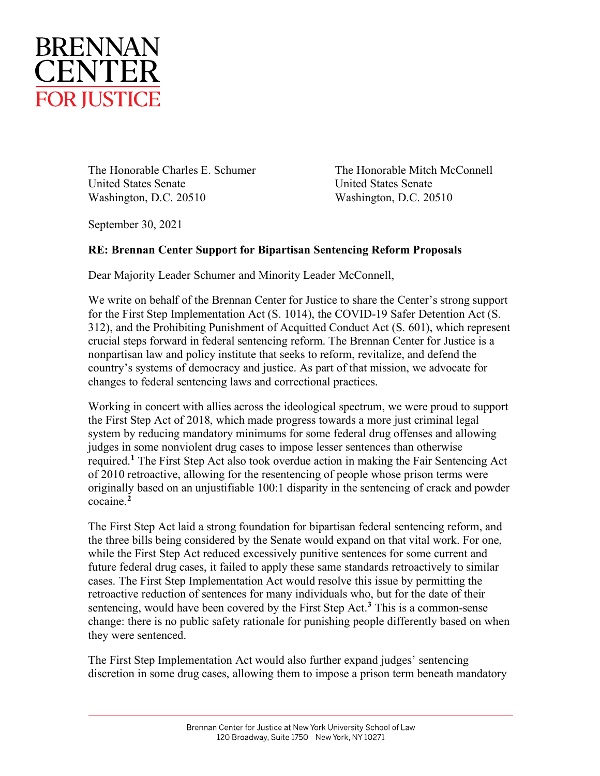

The Honorable Charles E. Schumer The Honorable Mitch McConnell United States Senate United States Senate Washington, D.C. 20510 Washington, D.C. 20510

September 30, 2021

## **RE: Brennan Center Support for Bipartisan Sentencing Reform Proposals**

Dear Majority Leader Schumer and Minority Leader McConnell,

We write on behalf of the Brennan Center for Justice to share the Center's strong support for the First Step Implementation Act (S. 1014), the COVID-19 Safer Detention Act (S. 312), and the Prohibiting Punishment of Acquitted Conduct Act (S. 601), which represent crucial steps forward in federal sentencing reform. The Brennan Center for Justice is a nonpartisan law and policy institute that seeks to reform, revitalize, and defend the country's systems of democracy and justice. As part of that mission, we advocate for changes to federal sentencing laws and correctional practices.

Working in concert with allies across the ideological spectrum, we were proud to support the First Step Act of 2018, which made progress towards a more just criminal legal system by reducing mandatory minimums for some federal drug offenses and allowing judges in some nonviolent drug cases to impose lesser sentences than otherwise required. **[1](#page-3-0)** The First Step Act also took overdue action in making the Fair Sentencing Act of 2010 retroactive, allowing for the resentencing of people whose prison terms were originally based on an unjustifiable 100:1 disparity in the sentencing of crack and powder cocaine. **[2](#page-3-1)**

The First Step Act laid a strong foundation for bipartisan federal sentencing reform, and the three bills being considered by the Senate would expand on that vital work. For one, while the First Step Act reduced excessively punitive sentences for some current and future federal drug cases, it failed to apply these same standards retroactively to similar cases. The First Step Implementation Act would resolve this issue by permitting the retroactive reduction of sentences for many individuals who, but for the date of their sentencing, would have been covered by the First Step Act. **[3](#page-3-2)** This is a common-sense change: there is no public safety rationale for punishing people differently based on when they were sentenced.

The First Step Implementation Act would also further expand judges' sentencing discretion in some drug cases, allowing them to impose a prison term beneath mandatory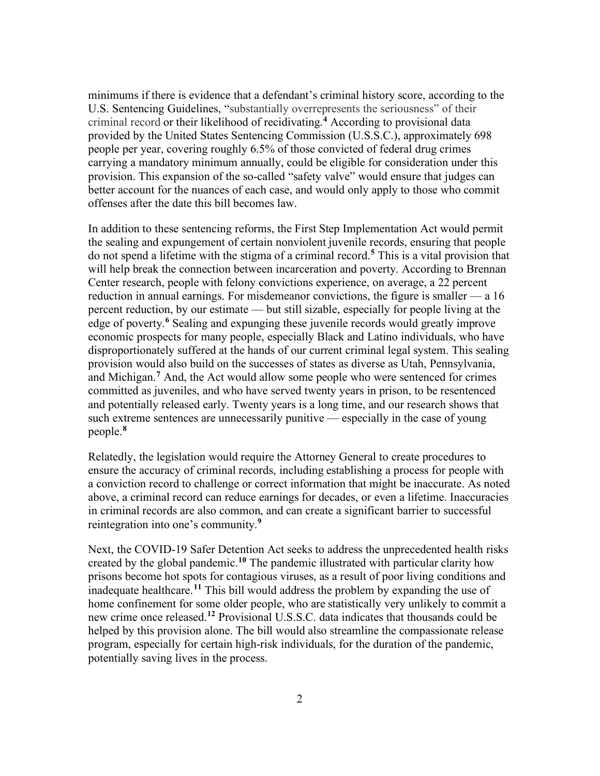minimums if there is evidence that a defendant's criminal history score, according to the U.S. Sentencing Guidelines, "substantially overrepresents the seriousness" of their criminal record or their likelihood of recidivating.**[4](#page-3-3)** According to provisional data provided by the United States Sentencing Commission (U.S.S.C.), approximately 698 people per year, covering roughly 6.5% of those convicted of federal drug crimes carrying a mandatory minimum annually, could be eligible for consideration under this provision. This expansion of the so-called "safety valve" would ensure that judges can better account for the nuances of each case, and would only apply to those who commit offenses after the date this bill becomes law.

In addition to these sentencing reforms, the First Step Implementation Act would permit the sealing and expungement of certain nonviolent juvenile records, ensuring that people do not spend a lifetime with the stigma of a criminal record.**[5](#page-3-4)** This is a vital provision that will help break the connection between incarceration and poverty. According to Brennan Center research, people with felony convictions experience, on average, a 22 percent reduction in annual earnings. For misdemeanor convictions, the figure is smaller — a 16 percent reduction, by our estimate — but still sizable, especially for people living at the edge of poverty. **[6](#page-3-5)** Sealing and expunging these juvenile records would greatly improve economic prospects for many people, especially Black and Latino individuals, who have disproportionately suffered at the hands of our current criminal legal system. This sealing provision would also build on the successes of states as diverse as Utah, Pennsylvania, and Michigan.**[7](#page-3-6)** And, the Act would allow some people who were sentenced for crimes committed as juveniles, and who have served twenty years in prison, to be resentenced and potentially released early. Twenty years is a long time, and our research shows that such extreme sentences are unnecessarily punitive — especially in the case of young people.**[8](#page-3-7)**

Relatedly, the legislation would require the Attorney General to create procedures to ensure the accuracy of criminal records, including establishing a process for people with a conviction record to challenge or correct information that might be inaccurate. As noted above, a criminal record can reduce earnings for decades, or even a lifetime. Inaccuracies in criminal records are also common, and can create a significant barrier to successful reintegration into one's community.**[9](#page-3-8)**

Next, the COVID-19 Safer Detention Act seeks to address the unprecedented health risks created by the global pandemic. **[10](#page-3-9)** The pandemic illustrated with particular clarity how prisons become hot spots for contagious viruses, as a result of poor living conditions and inadequate healthcare. **[11](#page-3-10)** This bill would address the problem by expanding the use of home confinement for some older people, who are statistically very unlikely to commit a new crime once released.**[12](#page-3-11)** Provisional U.S.S.C. data indicates that thousands could be helped by this provision alone. The bill would also streamline the compassionate release program, especially for certain high-risk individuals, for the duration of the pandemic, potentially saving lives in the process.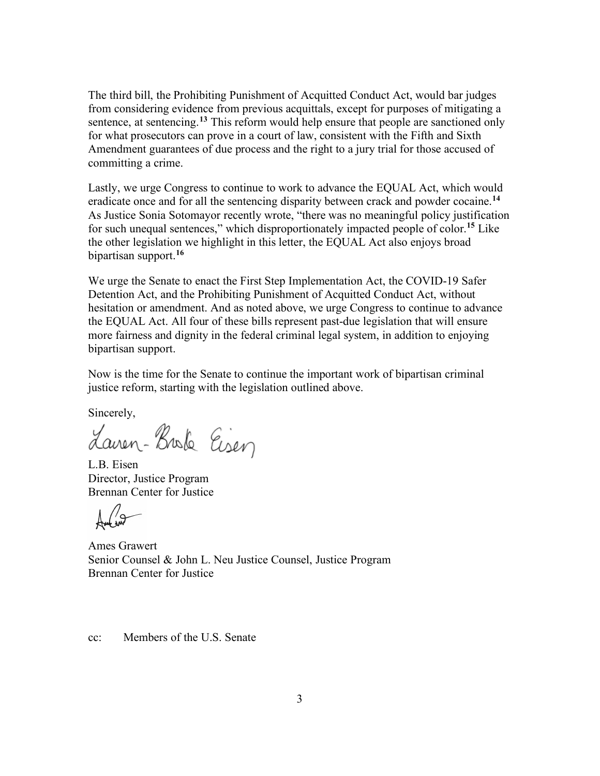The third bill, the Prohibiting Punishment of Acquitted Conduct Act, would bar judges from considering evidence from previous acquittals, except for purposes of mitigating a sentence, at sentencing. **[13](#page-3-12)** This reform would help ensure that people are sanctioned only for what prosecutors can prove in a court of law, consistent with the Fifth and Sixth Amendment guarantees of due process and the right to a jury trial for those accused of committing a crime.

Lastly, we urge Congress to continue to work to advance the EQUAL Act, which would eradicate once and for all the sentencing disparity between crack and powder cocaine.**[14](#page-3-13)** As Justice Sonia Sotomayor recently wrote, "there was no meaningful policy justification for such unequal sentences," which disproportionately impacted people of color.**[15](#page-3-14)** Like the other legislation we highlight in this letter, the EQUAL Act also enjoys broad bipartisan support.**[16](#page-3-15)**

We urge the Senate to enact the First Step Implementation Act, the COVID-19 Safer Detention Act, and the Prohibiting Punishment of Acquitted Conduct Act, without hesitation or amendment. And as noted above, we urge Congress to continue to advance the EQUAL Act. All four of these bills represent past-due legislation that will ensure more fairness and dignity in the federal criminal legal system, in addition to enjoying bipartisan support.

Now is the time for the Senate to continue the important work of bipartisan criminal justice reform, starting with the legislation outlined above.

Sincerely,

Laven-Broke Eisen

L.B. Eisen Director, Justice Program Brennan Center for Justice

Ames Grawert Senior Counsel & John L. Neu Justice Counsel, Justice Program Brennan Center for Justice

cc: Members of the U.S. Senate